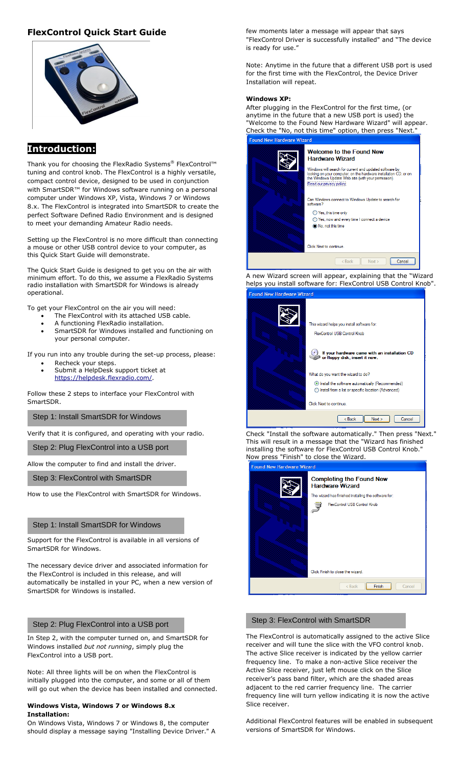## **FlexControl Quick Start Guide**



## **Introduction:**

Thank you for choosing the FlexRadio Systems® FlexControl™ tuning and control knob. The FlexControl is a highly versatile, compact control device, designed to be used in conjunction with SmartSDR™ for Windows software running on a personal computer under Windows XP, Vista, Windows 7 or Windows 8.x. The FlexControl is integrated into SmartSDR to create the perfect Software Defined Radio Environment and is designed to meet your demanding Amateur Radio needs.

Setting up the FlexControl is no more difficult than connecting a mouse or other USB control device to your computer, as this Quick Start Guide will demonstrate.

The Quick Start Guide is designed to get you on the air with minimum effort. To do this, we assume a FlexRadio Systems radio installation with SmartSDR for Windows is already operational.

To get your FlexControl on the air you will need:

- The FlexControl with its attached USB cable.
- A functioning FlexRadio installation.
- SmartSDR for Windows installed and functioning on your personal computer.

If you run into any trouble during the set-up process, please:

- Recheck your steps.
- Submit a HelpDesk support ticket at [https://helpdesk.flexradio.com/.](https://helpdesk.flexradio.com/)

Follow these 2 steps to interface your FlexControl with SmartSDR.

Step 1: Install SmartSDR for Windows

Verify that it is configured, and operating with your radio.

Step 2: Plug FlexControl into a USB port

Allow the computer to find and install the driver.

Step 3: FlexControl with SmartSDR

How to use the FlexControl with SmartSDR for Windows.

#### Step 1: Install SmartSDR for Windows

Support for the FlexControl is available in all versions of SmartSDR for Windows.

The necessary device driver and associated information for the FlexControl is included in this release, and will automatically be installed in your PC, when a new version of SmartSDR for Windows is installed.

### Step 2: Plug FlexControl into a USB port

In Step 2, with the computer turned on, and SmartSDR for Windows installed *but not running*, simply plug the FlexControl into a USB port.

Note: All three lights will be on when the FlexControl is initially plugged into the computer, and some or all of them will go out when the device has been installed and connected.

#### **Windows Vista, Windows 7 or Windows 8.x Installation:**

On Windows Vista, Windows 7 or Windows 8, the computer should display a message saying "Installing Device Driver." A few moments later a message will appear that says "FlexControl Driver is successfully installed" and "The device is ready for use."

Note: Anytime in the future that a different USB port is used for the first time with the FlexControl, the Device Driver Installation will repeat.

#### **Windows XP:**

After plugging in the FlexControl for the first time, (or anytime in the future that a new USB port is used) the "Welcome to the Found New Hardware Wizard" will appear. Check the "No, not this time" option, then press "Next." w Hardw ا<br>Wizard

| <b>Welcome to the Found New</b><br><b>Hardware Wizard</b>                                                                                                                                                      |
|----------------------------------------------------------------------------------------------------------------------------------------------------------------------------------------------------------------|
| Windows will search for current and updated software by<br>looking on your computer, on the hardware installation CD, or on<br>the Windows Update Web site (with your permission).<br>Read our privacy policy. |
| Can Windows connect to Windows Update to search for<br>software?                                                                                                                                               |
| ◯ Yes, this time only<br>◯ Yes, now and every time I connect a device<br>No, not this time                                                                                                                     |
| Click Next to continue.                                                                                                                                                                                        |
| $<$ Back<br>Next<br>Cancel                                                                                                                                                                                     |

A new Wizard screen will appear, explaining that the "Wizard helps you install software for: FlexControl USB Control Knob". ew Hardware Wizard

| This wizard helps you install software for:                                                             |
|---------------------------------------------------------------------------------------------------------|
| FlexControl USB Control Knob                                                                            |
| If your hardware came with an installation CD<br>or floppy disk, insert it now.                         |
| What do you want the wizard to do?                                                                      |
| Install the software automatically (Recommended)<br>Install from a list or specific location (Advanced) |
| Click Next to continue.                                                                                 |
| < Back<br>Next<br>Cancel                                                                                |

Check "Install the software automatically." Then press "Next." This will result in a message that the "Wizard has finished installing the software for FlexControl USB Control Knob." Now press "Finish" to close the Wizard.

| <b>Found New Hardware Wizard</b> |                                                                                                                   |  |
|----------------------------------|-------------------------------------------------------------------------------------------------------------------|--|
|                                  | <b>Completing the Found New</b><br><b>Hardware Wizard</b><br>The wizard has finished installing the software for: |  |
|                                  | FlexControl USB Control Knob                                                                                      |  |
|                                  | Click Finish to close the wizard.                                                                                 |  |
|                                  | Finish<br>$<$ Back<br>Cancel                                                                                      |  |

#### Step 3: FlexControl with SmartSDR

The FlexControl is automatically assigned to the active Slice receiver and will tune the slice with the VFO control knob. The active Slice receiver is indicated by the yellow carrier frequency line. To make a non-active Slice receiver the Active Slice receiver, just left mouse click on the Slice receiver's pass band filter, which are the shaded areas adjacent to the red carrier frequency line. The carrier frequency line will turn yellow indicating it is now the active Slice receiver.

Additional FlexControl features will be enabled in subsequent versions of SmartSDR for Windows.